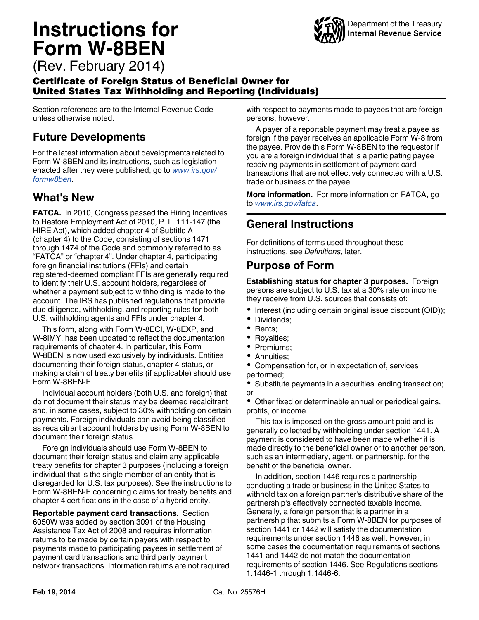# **Instructions for Form W-8BEN**



(Rev. February 2014)

#### Certificate of Foreign Status of Beneficial Owner for United States Tax Withholding and Reporting (Individuals)

Section references are to the Internal Revenue Code unless otherwise noted.

### **Future Developments**

For the latest information about developments related to Form W-8BEN and its instructions, such as legislation enacted after they were published, go to *[www.irs.gov/](http://www.irs.gov/formw8ben) [formw8ben](http://www.irs.gov/formw8ben)*.

### **What's New**

**FATCA.** In 2010, Congress passed the Hiring Incentives to Restore Employment Act of 2010, P. L. 111-147 (the HIRE Act), which added chapter 4 of Subtitle A (chapter 4) to the Code, consisting of sections 1471 through 1474 of the Code and commonly referred to as "FATCA" or "chapter 4". Under chapter 4, participating foreign financial institutions (FFIs) and certain registered-deemed compliant FFIs are generally required to identify their U.S. account holders, regardless of whether a payment subject to withholding is made to the account. The IRS has published regulations that provide due diligence, withholding, and reporting rules for both U.S. withholding agents and FFIs under chapter 4.

This form, along with Form W-8ECI, W-8EXP, and W-8IMY, has been updated to reflect the documentation requirements of chapter 4. In particular, this Form W-8BEN is now used exclusively by individuals. Entities documenting their foreign status, chapter 4 status, or making a claim of treaty benefits (if applicable) should use Form W-8BEN-E.

Individual account holders (both U.S. and foreign) that do not document their status may be deemed recalcitrant and, in some cases, subject to 30% withholding on certain payments. Foreign individuals can avoid being classified as recalcitrant account holders by using Form W-8BEN to document their foreign status.

Foreign individuals should use Form W-8BEN to document their foreign status and claim any applicable treaty benefits for chapter 3 purposes (including a foreign individual that is the single member of an entity that is disregarded for U.S. tax purposes). See the instructions to Form W-8BEN-E concerning claims for treaty benefits and chapter 4 certifications in the case of a hybrid entity.

**Reportable payment card transactions.** Section 6050W was added by section 3091 of the Housing Assistance Tax Act of 2008 and requires information returns to be made by certain payers with respect to payments made to participating payees in settlement of payment card transactions and third party payment network transactions. Information returns are not required with respect to payments made to payees that are foreign persons, however.

A payer of a reportable payment may treat a payee as foreign if the payer receives an applicable Form W-8 from the payee. Provide this Form W-8BEN to the requestor if you are a foreign individual that is a participating payee receiving payments in settlement of payment card transactions that are not effectively connected with a U.S. trade or business of the payee.

**More information.** For more information on FATCA, go to *[www.irs.gov/fatca](http://www.irs.gov/fatca)*.

# **General Instructions**

For definitions of terms used throughout these instructions, see *Definitions*, later.

### **Purpose of Form**

**Establishing status for chapter 3 purposes.** Foreign persons are subject to U.S. tax at a 30% rate on income they receive from U.S. sources that consists of:

- Interest (including certain original issue discount (OID));
- Dividends;
- Rents;
- Royalties;
- Premiums;
- Annuities;
- Compensation for, or in expectation of, services performed;
- $\bullet$ Substitute payments in a securities lending transaction; or

• Other fixed or determinable annual or periodical gains, profits, or income.

This tax is imposed on the gross amount paid and is generally collected by withholding under section 1441. A payment is considered to have been made whether it is made directly to the beneficial owner or to another person, such as an intermediary, agent, or partnership, for the benefit of the beneficial owner.

In addition, section 1446 requires a partnership conducting a trade or business in the United States to withhold tax on a foreign partner's distributive share of the partnership's effectively connected taxable income. Generally, a foreign person that is a partner in a partnership that submits a Form W-8BEN for purposes of section 1441 or 1442 will satisfy the documentation requirements under section 1446 as well. However, in some cases the documentation requirements of sections 1441 and 1442 do not match the documentation requirements of section 1446. See Regulations sections 1.1446-1 through 1.1446-6.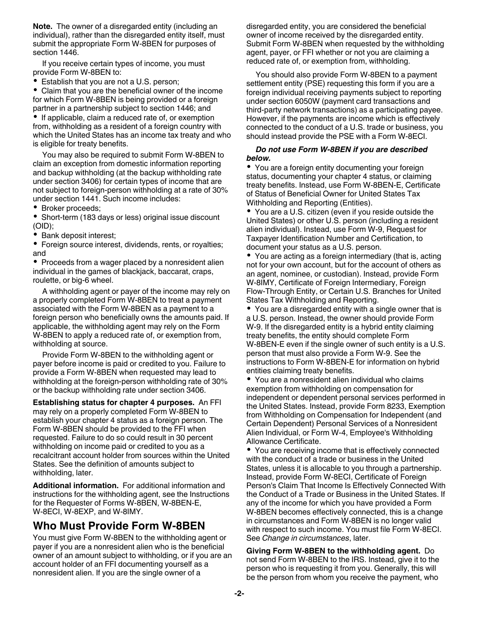**Note.** The owner of a disregarded entity (including an individual), rather than the disregarded entity itself, must submit the appropriate Form W-8BEN for purposes of section 1446.

If you receive certain types of income, you must provide Form W-8BEN to:

Establish that you are not a U.S. person;

Claim that you are the beneficial owner of the income for which Form W-8BEN is being provided or a foreign partner in a partnership subject to section 1446; and • If applicable, claim a reduced rate of, or exemption from, withholding as a resident of a foreign country with which the United States has an income tax treaty and who

is eligible for treaty benefits. You may also be required to submit Form W-8BEN to claim an exception from domestic information reporting and backup withholding (at the backup withholding rate under section 3406) for certain types of income that are

not subject to foreign-person withholding at a rate of 30% under section 1441. Such income includes:

• Broker proceeds;

• Short-term (183 days or less) original issue discount (OID);

Bank deposit interest;

Foreign source interest, dividends, rents, or royalties; and

• Proceeds from a wager placed by a nonresident alien individual in the games of blackjack, baccarat, craps, roulette, or big-6 wheel.

A withholding agent or payer of the income may rely on a properly completed Form W-8BEN to treat a payment associated with the Form W-8BEN as a payment to a foreign person who beneficially owns the amounts paid. If applicable, the withholding agent may rely on the Form W-8BEN to apply a reduced rate of, or exemption from, withholding at source.

Provide Form W-8BEN to the withholding agent or payer before income is paid or credited to you. Failure to provide a Form W-8BEN when requested may lead to withholding at the foreign-person withholding rate of 30% or the backup withholding rate under section 3406.

**Establishing status for chapter 4 purposes.** An FFI may rely on a properly completed Form W-8BEN to establish your chapter 4 status as a foreign person. The Form W-8BEN should be provided to the FFI when requested. Failure to do so could result in 30 percent withholding on income paid or credited to you as a recalcitrant account holder from sources within the United States. See the definition of amounts subject to withholding, later.

**Additional information.** For additional information and instructions for the withholding agent, see the Instructions for the Requester of Forms W-8BEN, W-8BEN-E, W-8ECI, W-8EXP, and W-8IMY.

# **Who Must Provide Form W-8BEN**

You must give Form W-8BEN to the withholding agent or payer if you are a nonresident alien who is the beneficial owner of an amount subject to withholding, or if you are an account holder of an FFI documenting yourself as a nonresident alien. If you are the single owner of a

disregarded entity, you are considered the beneficial owner of income received by the disregarded entity. Submit Form W-8BEN when requested by the withholding agent, payer, or FFI whether or not you are claiming a reduced rate of, or exemption from, withholding.

You should also provide Form W-8BEN to a payment settlement entity (PSE) requesting this form if you are a foreign individual receiving payments subject to reporting under section 6050W (payment card transactions and third-party network transactions) as a participating payee. However, if the payments are income which is effectively connected to the conduct of a U.S. trade or business, you should instead provide the PSE with a Form W-8ECI.

#### *Do not use Form W-8BEN if you are described below.*

You are a foreign entity documenting your foreign status, documenting your chapter 4 status, or claiming treaty benefits. Instead, use Form W-8BEN-E, Certificate of Status of Beneficial Owner for United States Tax Withholding and Reporting (Entities).

You are a U.S. citizen (even if you reside outside the United States) or other U.S. person (including a resident alien individual). Instead, use Form W-9, Request for Taxpayer Identification Number and Certification, to document your status as a U.S. person.

• You are acting as a foreign intermediary (that is, acting not for your own account, but for the account of others as an agent, nominee, or custodian). Instead, provide Form W-8IMY, Certificate of Foreign Intermediary, Foreign Flow-Through Entity, or Certain U.S. Branches for United States Tax Withholding and Reporting.

You are a disregarded entity with a single owner that is a U.S. person. Instead, the owner should provide Form W-9. If the disregarded entity is a hybrid entity claiming treaty benefits, the entity should complete Form W-8BEN-E even if the single owner of such entity is a U.S. person that must also provide a Form W-9. See the instructions to Form W-8BEN-E for information on hybrid entities claiming treaty benefits.

You are a nonresident alien individual who claims exemption from withholding on compensation for independent or dependent personal services performed in the United States. Instead, provide Form 8233, Exemption from Withholding on Compensation for Independent (and Certain Dependent) Personal Services of a Nonresident Alien Individual, or Form W-4, Employee's Withholding Allowance Certificate.

You are receiving income that is effectively connected with the conduct of a trade or business in the United States, unless it is allocable to you through a partnership. Instead, provide Form W-8ECI, Certificate of Foreign Person's Claim That Income Is Effectively Connected With the Conduct of a Trade or Business in the United States. If any of the income for which you have provided a Form W-8BEN becomes effectively connected, this is a change in circumstances and Form W-8BEN is no longer valid with respect to such income. You must file Form W-8ECI. See *Change in circumstances*, later.

**Giving Form W-8BEN to the withholding agent.** Do not send Form W-8BEN to the IRS. Instead, give it to the person who is requesting it from you. Generally, this will be the person from whom you receive the payment, who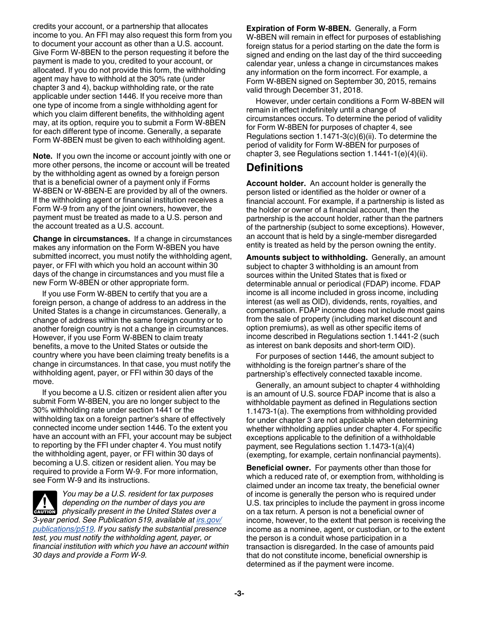credits your account, or a partnership that allocates income to you. An FFI may also request this form from you to document your account as other than a U.S. account. Give Form W-8BEN to the person requesting it before the payment is made to you, credited to your account, or allocated. If you do not provide this form, the withholding agent may have to withhold at the 30% rate (under chapter 3 and 4), backup withholding rate, or the rate applicable under section 1446. If you receive more than one type of income from a single withholding agent for which you claim different benefits, the withholding agent may, at its option, require you to submit a Form W-8BEN for each different type of income. Generally, a separate Form W-8BEN must be given to each withholding agent.

**Note.** If you own the income or account jointly with one or more other persons, the income or account will be treated by the withholding agent as owned by a foreign person that is a beneficial owner of a payment only if Forms W-8BEN or W-8BEN-E are provided by all of the owners. If the withholding agent or financial institution receives a Form W-9 from any of the joint owners, however, the payment must be treated as made to a U.S. person and the account treated as a U.S. account.

**Change in circumstances.** If a change in circumstances makes any information on the Form W-8BEN you have submitted incorrect, you must notify the withholding agent, payer, or FFI with which you hold an account within 30 days of the change in circumstances and you must file a new Form W-8BEN or other appropriate form.

If you use Form W-8BEN to certify that you are a foreign person, a change of address to an address in the United States is a change in circumstances. Generally, a change of address within the same foreign country or to another foreign country is not a change in circumstances. However, if you use Form W-8BEN to claim treaty benefits, a move to the United States or outside the country where you have been claiming treaty benefits is a change in circumstances. In that case, you must notify the withholding agent, payer, or FFI within 30 days of the move.

If you become a U.S. citizen or resident alien after you submit Form W-8BEN, you are no longer subject to the 30% withholding rate under section 1441 or the withholding tax on a foreign partner's share of effectively connected income under section 1446. To the extent you have an account with an FFI, your account may be subject to reporting by the FFI under chapter 4. You must notify the withholding agent, payer, or FFI within 30 days of becoming a U.S. citizen or resident alien. You may be required to provide a Form W-9. For more information, see Form W-9 and its instructions.

*You may be a U.S. resident for tax purposes depending on the number of days you are physically present in the United States over a* $\frac{1}{2}$  **physically present in the United States over a** *3-year period. See Publication 519, available at [irs.gov/](http://www.irs.gov/publications/p519/) [publications/p519.](http://www.irs.gov/publications/p519/) If you satisfy the substantial presence test, you must notify the withholding agent, payer, or financial institution with which you have an account within 30 days and provide a Form W-9.*

**Expiration of Form W-8BEN.** Generally, a Form W-8BEN will remain in effect for purposes of establishing foreign status for a period starting on the date the form is signed and ending on the last day of the third succeeding calendar year, unless a change in circumstances makes any information on the form incorrect. For example, a Form W-8BEN signed on September 30, 2015, remains valid through December 31, 2018.

However, under certain conditions a Form W-8BEN will remain in effect indefinitely until a change of circumstances occurs. To determine the period of validity for Form W-8BEN for purposes of chapter 4, see Regulations section 1.1471-3(c)(6)(ii). To determine the period of validity for Form W-8BEN for purposes of chapter 3, see Regulations section 1.1441-1(e)(4)(ii).

### **Definitions**

**Account holder.** An account holder is generally the person listed or identified as the holder or owner of a financial account. For example, if a partnership is listed as the holder or owner of a financial account, then the partnership is the account holder, rather than the partners of the partnership (subject to some exceptions). However, an account that is held by a single-member disregarded entity is treated as held by the person owning the entity.

**Amounts subject to withholding.** Generally, an amount subject to chapter 3 withholding is an amount from sources within the United States that is fixed or determinable annual or periodical (FDAP) income. FDAP income is all income included in gross income, including interest (as well as OID), dividends, rents, royalties, and compensation. FDAP income does not include most gains from the sale of property (including market discount and option premiums), as well as other specific items of income described in Regulations section 1.1441-2 (such as interest on bank deposits and short-term OID).

For purposes of section 1446, the amount subject to withholding is the foreign partner's share of the partnership's effectively connected taxable income.

Generally, an amount subject to chapter 4 withholding is an amount of U.S. source FDAP income that is also a withholdable payment as defined in Regulations section 1.1473-1(a). The exemptions from withholding provided for under chapter 3 are not applicable when determining whether withholding applies under chapter 4. For specific exceptions applicable to the definition of a withholdable payment, see Regulations section 1.1473-1(a)(4) (exempting, for example, certain nonfinancial payments).

**Beneficial owner.** For payments other than those for which a reduced rate of, or exemption from, withholding is claimed under an income tax treaty, the beneficial owner of income is generally the person who is required under U.S. tax principles to include the payment in gross income on a tax return. A person is not a beneficial owner of income, however, to the extent that person is receiving the income as a nominee, agent, or custodian, or to the extent the person is a conduit whose participation in a transaction is disregarded. In the case of amounts paid that do not constitute income, beneficial ownership is determined as if the payment were income.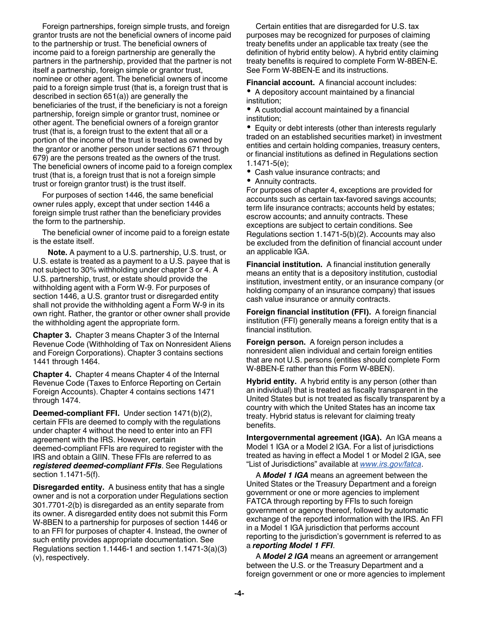Foreign partnerships, foreign simple trusts, and foreign grantor trusts are not the beneficial owners of income paid to the partnership or trust. The beneficial owners of income paid to a foreign partnership are generally the partners in the partnership, provided that the partner is not itself a partnership, foreign simple or grantor trust, nominee or other agent. The beneficial owners of income paid to a foreign simple trust (that is, a foreign trust that is described in section 651(a)) are generally the beneficiaries of the trust, if the beneficiary is not a foreign partnership, foreign simple or grantor trust, nominee or other agent. The beneficial owners of a foreign grantor trust (that is, a foreign trust to the extent that all or a portion of the income of the trust is treated as owned by the grantor or another person under sections 671 through 679) are the persons treated as the owners of the trust. The beneficial owners of income paid to a foreign complex trust (that is, a foreign trust that is not a foreign simple trust or foreign grantor trust) is the trust itself.

For purposes of section 1446, the same beneficial owner rules apply, except that under section 1446 a foreign simple trust rather than the beneficiary provides the form to the partnership.

The beneficial owner of income paid to a foreign estate is the estate itself.

**Note.** A payment to a U.S. partnership, U.S. trust, or U.S. estate is treated as a payment to a U.S. payee that is not subject to 30% withholding under chapter 3 or 4. A U.S. partnership, trust, or estate should provide the withholding agent with a Form W-9. For purposes of section 1446, a U.S. grantor trust or disregarded entity shall not provide the withholding agent a Form W-9 in its own right. Rather, the grantor or other owner shall provide the withholding agent the appropriate form.

**Chapter 3.** Chapter 3 means Chapter 3 of the Internal Revenue Code (Withholding of Tax on Nonresident Aliens and Foreign Corporations). Chapter 3 contains sections 1441 through 1464.

**Chapter 4.** Chapter 4 means Chapter 4 of the Internal Revenue Code (Taxes to Enforce Reporting on Certain Foreign Accounts). Chapter 4 contains sections 1471 through 1474.

**Deemed-compliant FFI.** Under section 1471(b)(2), certain FFIs are deemed to comply with the regulations under chapter 4 without the need to enter into an FFI agreement with the IRS. However, certain deemed-compliant FFIs are required to register with the IRS and obtain a GIIN. These FFIs are referred to as *registered deemed-compliant FFIs*. See Regulations section 1.1471-5(f).

**Disregarded entity.** A business entity that has a single owner and is not a corporation under Regulations section 301.7701-2(b) is disregarded as an entity separate from its owner. A disregarded entity does not submit this Form W-8BEN to a partnership for purposes of section 1446 or to an FFI for purposes of chapter 4. Instead, the owner of such entity provides appropriate documentation. See Regulations section 1.1446-1 and section 1.1471-3(a)(3) (v), respectively.

Certain entities that are disregarded for U.S. tax purposes may be recognized for purposes of claiming treaty benefits under an applicable tax treaty (see the definition of hybrid entity below). A hybrid entity claiming treaty benefits is required to complete Form W-8BEN-E. See Form W-8BEN-E and its instructions.

**Financial account.** A financial account includes:

A depository account maintained by a financial institution;

A custodial account maintained by a financial institution;

Equity or debt interests (other than interests regularly traded on an established securities market) in investment entities and certain holding companies, treasury centers, or financial institutions as defined in Regulations section 1.1471-5(e);

- Cash value insurance contracts; and
- Annuity contracts.

For purposes of chapter 4, exceptions are provided for accounts such as certain tax-favored savings accounts; term life insurance contracts; accounts held by estates; escrow accounts; and annuity contracts. These exceptions are subject to certain conditions. See Regulations section 1.1471-5(b)(2). Accounts may also be excluded from the definition of financial account under an applicable IGA.

**Financial institution.** A financial institution generally means an entity that is a depository institution, custodial institution, investment entity, or an insurance company (or holding company of an insurance company) that issues cash value insurance or annuity contracts.

**Foreign financial institution (FFI).** A foreign financial institution (FFI) generally means a foreign entity that is a financial institution.

**Foreign person.** A foreign person includes a nonresident alien individual and certain foreign entities that are not U.S. persons (entities should complete Form W-8BEN-E rather than this Form W-8BEN).

**Hybrid entity.** A hybrid entity is any person (other than an individual) that is treated as fiscally transparent in the United States but is not treated as fiscally transparent by a country with which the United States has an income tax treaty. Hybrid status is relevant for claiming treaty benefits.

**Intergovernmental agreement (IGA).** An IGA means a Model 1 IGA or a Model 2 IGA. For a list of jurisdictions treated as having in effect a Model 1 or Model 2 IGA, see "List of Jurisdictions" available at *[www.irs.gov/fatca](http://www.irs.gov/fatca)*.

A *Model 1 IGA* means an agreement between the United States or the Treasury Department and a foreign government or one or more agencies to implement FATCA through reporting by FFIs to such foreign government or agency thereof, followed by automatic exchange of the reported information with the IRS. An FFI in a Model 1 IGA jurisdiction that performs account reporting to the jurisdiction's government is referred to as a *reporting Model 1 FFI*.

A *Model 2 IGA* means an agreement or arrangement between the U.S. or the Treasury Department and a foreign government or one or more agencies to implement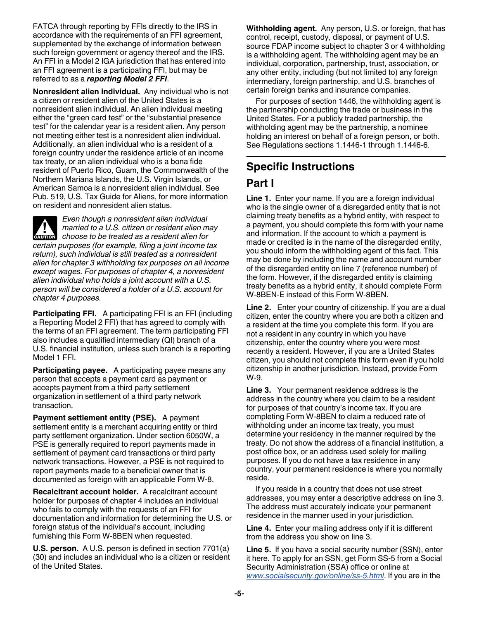FATCA through reporting by FFIs directly to the IRS in accordance with the requirements of an FFI agreement, supplemented by the exchange of information between such foreign government or agency thereof and the IRS. An FFI in a Model 2 IGA jurisdiction that has entered into an FFI agreement is a participating FFI, but may be referred to as a *reporting Model 2 FFI*.

**Nonresident alien individual.** Any individual who is not a citizen or resident alien of the United States is a nonresident alien individual. An alien individual meeting either the "green card test" or the "substantial presence test" for the calendar year is a resident alien. Any person not meeting either test is a nonresident alien individual. Additionally, an alien individual who is a resident of a foreign country under the residence article of an income tax treaty, or an alien individual who is a bona fide resident of Puerto Rico, Guam, the Commonwealth of the Northern Mariana Islands, the U.S. Virgin Islands, or American Samoa is a nonresident alien individual. See Pub. 519, U.S. Tax Guide for Aliens, for more information on resident and nonresident alien status.

*Even though a nonresident alien individual married to a U.S. citizen or resident alien may*  **c** *choose to be treated as a resident alien maximum choose to be treated as a resident alien for certain purposes (for example, filing a joint income tax return), such individual is still treated as a nonresident alien for chapter 3 withholding tax purposes on all income except wages. For purposes of chapter 4, a nonresident alien individual who holds a joint account with a U.S. person will be considered a holder of a U.S. account for chapter 4 purposes.*

**Participating FFI.** A participating FFI is an FFI (including a Reporting Model 2 FFI) that has agreed to comply with the terms of an FFI agreement. The term participating FFI also includes a qualified intermediary (QI) branch of a U.S. financial institution, unless such branch is a reporting Model 1 FFI.

**Participating payee.** A participating payee means any person that accepts a payment card as payment or accepts payment from a third party settlement organization in settlement of a third party network transaction.

**Payment settlement entity (PSE).** A payment settlement entity is a merchant acquiring entity or third party settlement organization. Under section 6050W, a PSE is generally required to report payments made in settlement of payment card transactions or third party network transactions. However, a PSE is not required to report payments made to a beneficial owner that is documented as foreign with an applicable Form W-8.

**Recalcitrant account holder.** A recalcitrant account holder for purposes of chapter 4 includes an individual who fails to comply with the requests of an FFI for documentation and information for determining the U.S. or foreign status of the individual's account, including furnishing this Form W-8BEN when requested.

**U.S. person.** A U.S. person is defined in section 7701(a) (30) and includes an individual who is a citizen or resident of the United States.

**Withholding agent.** Any person, U.S. or foreign, that has control, receipt, custody, disposal, or payment of U.S. source FDAP income subject to chapter 3 or 4 withholding is a withholding agent. The withholding agent may be an individual, corporation, partnership, trust, association, or any other entity, including (but not limited to) any foreign intermediary, foreign partnership, and U.S. branches of certain foreign banks and insurance companies.

For purposes of section 1446, the withholding agent is the partnership conducting the trade or business in the United States. For a publicly traded partnership, the withholding agent may be the partnership, a nominee holding an interest on behalf of a foreign person, or both. See Regulations sections 1.1446-1 through 1.1446-6.

# **Specific Instructions**

### **Part I**

**Line 1.** Enter your name. If you are a foreign individual who is the single owner of a disregarded entity that is not claiming treaty benefits as a hybrid entity, with respect to a payment, you should complete this form with your name and information. If the account to which a payment is made or credited is in the name of the disregarded entity, you should inform the withholding agent of this fact. This may be done by including the name and account number of the disregarded entity on line 7 (reference number) of the form. However, if the disregarded entity is claiming treaty benefits as a hybrid entity, it should complete Form W-8BEN-E instead of this Form W-8BEN.

**Line 2.** Enter your country of citizenship. If you are a dual citizen, enter the country where you are both a citizen and a resident at the time you complete this form. If you are not a resident in any country in which you have citizenship, enter the country where you were most recently a resident. However, if you are a United States citizen, you should not complete this form even if you hold citizenship in another jurisdiction. Instead, provide Form W-9.

**Line 3.** Your permanent residence address is the address in the country where you claim to be a resident for purposes of that country's income tax. If you are completing Form W-8BEN to claim a reduced rate of withholding under an income tax treaty, you must determine your residency in the manner required by the treaty. Do not show the address of a financial institution, a post office box, or an address used solely for mailing purposes. If you do not have a tax residence in any country, your permanent residence is where you normally reside.

If you reside in a country that does not use street addresses, you may enter a descriptive address on line 3. The address must accurately indicate your permanent residence in the manner used in your jurisdiction.

**Line 4.** Enter your mailing address only if it is different from the address you show on line 3.

**Line 5.** If you have a social security number (SSN), enter it here. To apply for an SSN, get Form SS-5 from a Social Security Administration (SSA) office or online at *[www.socialsecurity.gov/online/ss-5.html](http://www.socialsecurity.gov/online/ss-5.html)*. If you are in the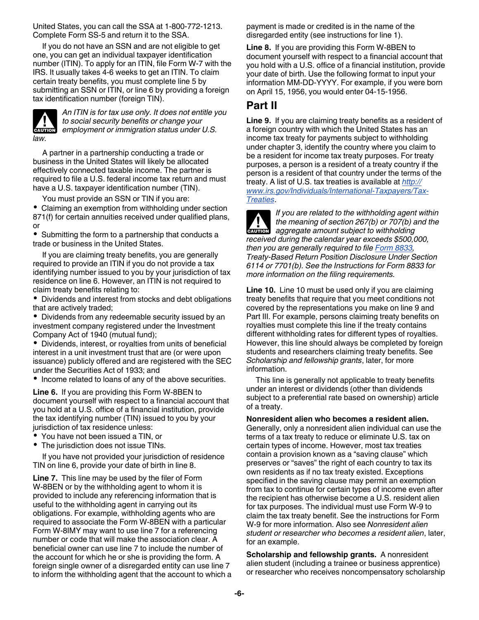United States, you can call the SSA at 1-800-772-1213. Complete Form SS-5 and return it to the SSA.

If you do not have an SSN and are not eligible to get one, you can get an individual taxpayer identification number (ITIN). To apply for an ITIN, file Form W-7 with the IRS. It usually takes 4-6 weeks to get an ITIN. To claim certain treaty benefits, you must complete line 5 by submitting an SSN or ITIN, or line 6 by providing a foreign tax identification number (foreign TIN).



*An ITIN is for tax use only. It does not entitle you to social security benefits or change your employment or immigration status under U.S.* 

A partner in a partnership conducting a trade or business in the United States will likely be allocated effectively connected taxable income. The partner is required to file a U.S. federal income tax return and must have a U.S. taxpayer identification number (TIN).

You must provide an SSN or TIN if you are:

Claiming an exemption from withholding under section 871(f) for certain annuities received under qualified plans, or

Submitting the form to a partnership that conducts a trade or business in the United States.

If you are claiming treaty benefits, you are generally required to provide an ITIN if you do not provide a tax identifying number issued to you by your jurisdiction of tax residence on line 6. However, an ITIN is not required to claim treaty benefits relating to:

Dividends and interest from stocks and debt obligations that are actively traded;

Dividends from any redeemable security issued by an investment company registered under the Investment Company Act of 1940 (mutual fund);

Dividends, interest, or royalties from units of beneficial interest in a unit investment trust that are (or were upon issuance) publicly offered and are registered with the SEC under the Securities Act of 1933; and

• Income related to loans of any of the above securities.

**Line 6.** If you are providing this Form W-8BEN to document yourself with respect to a financial account that you hold at a U.S. office of a financial institution, provide the tax identifying number (TIN) issued to you by your jurisdiction of tax residence unless:

- You have not been issued a TIN, or
- The jurisdiction does not issue TINs.

If you have not provided your jurisdiction of residence TIN on line 6, provide your date of birth in line 8.

**Line 7.** This line may be used by the filer of Form W-8BEN or by the withholding agent to whom it is provided to include any referencing information that is useful to the withholding agent in carrying out its obligations. For example, withholding agents who are required to associate the Form W-8BEN with a particular Form W-8IMY may want to use line 7 for a referencing number or code that will make the association clear. A beneficial owner can use line 7 to include the number of the account for which he or she is providing the form. A foreign single owner of a disregarded entity can use line 7 to inform the withholding agent that the account to which a payment is made or credited is in the name of the disregarded entity (see instructions for line 1).

**Line 8.** If you are providing this Form W-8BEN to document yourself with respect to a financial account that you hold with a U.S. office of a financial institution, provide your date of birth. Use the following format to input your information MM-DD-YYYY. For example, if you were born on April 15, 1956, you would enter 04-15-1956.

### **Part II**

**Line 9.** If you are claiming treaty benefits as a resident of a foreign country with which the United States has an income tax treaty for payments subject to withholding under chapter 3, identify the country where you claim to be a resident for income tax treaty purposes. For treaty purposes, a person is a resident of a treaty country if the person is a resident of that country under the terms of the treaty. A list of U.S. tax treaties is available at *[http://](http://www.irs.gov/Individuals/International-Taxpayers/Tax-Treaties) [www.irs.gov/Individuals/International-Taxpayers/Tax-](http://www.irs.gov/Individuals/International-Taxpayers/Tax-Treaties)[Treaties](http://www.irs.gov/Individuals/International-Taxpayers/Tax-Treaties)*.



*If you are related to the withholding agent within the meaning of section 267(b) or 707(b) and the*  **h** the meaning of section 267(b) or 707(b) a<br>aggregate amount subject to withholding *received during the calendar year exceeds \$500,000, then you are generally required to file [Form 8833](http://www.irs.gov/form8833), Treaty-Based Return Position Disclosure Under Section 6114 or 7701(b). See the Instructions for Form 8833 for more information on the filing requirements.*

**Line 10.** Line 10 must be used only if you are claiming treaty benefits that require that you meet conditions not covered by the representations you make on line 9 and Part III. For example, persons claiming treaty benefits on royalties must complete this line if the treaty contains different withholding rates for different types of royalties. However, this line should always be completed by foreign students and researchers claiming treaty benefits. See *Scholarship and fellowship grants*, later, for more information.

This line is generally not applicable to treaty benefits under an interest or dividends (other than dividends subject to a preferential rate based on ownership) article of a treaty.

#### **Nonresident alien who becomes a resident alien.**

Generally, only a nonresident alien individual can use the terms of a tax treaty to reduce or eliminate U.S. tax on certain types of income. However, most tax treaties contain a provision known as a "saving clause" which preserves or "saves" the right of each country to tax its own residents as if no tax treaty existed. Exceptions specified in the saving clause may permit an exemption from tax to continue for certain types of income even after the recipient has otherwise become a U.S. resident alien for tax purposes. The individual must use Form W-9 to claim the tax treaty benefit. See the instructions for Form W-9 for more information. Also see *Nonresident alien student or researcher who becomes a resident alien*, later, for an example.

**Scholarship and fellowship grants.** A nonresident alien student (including a trainee or business apprentice) or researcher who receives noncompensatory scholarship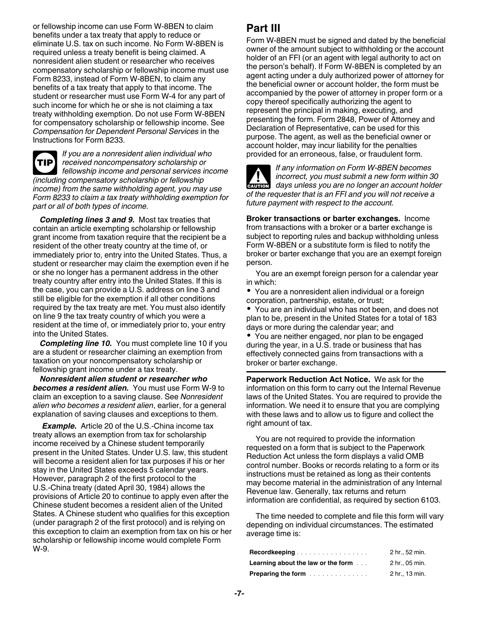or fellowship income can use Form W-8BEN to claim benefits under a tax treaty that apply to reduce or eliminate U.S. tax on such income. No Form W-8BEN is required unless a treaty benefit is being claimed. A nonresident alien student or researcher who receives compensatory scholarship or fellowship income must use Form 8233, instead of Form W-8BEN, to claim any benefits of a tax treaty that apply to that income. The student or researcher must use Form W-4 for any part of such income for which he or she is not claiming a tax treaty withholding exemption. Do not use Form W-8BEN for compensatory scholarship or fellowship income. See *Compensation for Dependent Personal Services* in the Instructions for Form 8233.

*If you are a nonresident alien individual who received noncompensatory scholarship or fellowship income and personal services income (including compensatory scholarship or fellowship income) from the same withholding agent, you may use Form 8233 to claim a tax treaty withholding exemption for part or all of both types of income.* **TIP**

*Completing lines 3 and 9.* Most tax treaties that contain an article exempting scholarship or fellowship grant income from taxation require that the recipient be a resident of the other treaty country at the time of, or immediately prior to, entry into the United States. Thus, a student or researcher may claim the exemption even if he or she no longer has a permanent address in the other treaty country after entry into the United States. If this is the case, you can provide a U.S. address on line 3 and still be eligible for the exemption if all other conditions required by the tax treaty are met. You must also identify on line 9 the tax treaty country of which you were a resident at the time of, or immediately prior to, your entry into the United States.

*Completing line 10.* You must complete line 10 if you are a student or researcher claiming an exemption from taxation on your noncompensatory scholarship or fellowship grant income under a tax treaty.

*Nonresident alien student or researcher who becomes a resident alien.* You must use Form W-9 to claim an exception to a saving clause. See *Nonresident alien who becomes a resident alien*, earlier, for a general explanation of saving clauses and exceptions to them.

*Example.* Article 20 of the U.S.-China income tax treaty allows an exemption from tax for scholarship income received by a Chinese student temporarily present in the United States. Under U.S. law, this student will become a resident alien for tax purposes if his or her stay in the United States exceeds 5 calendar years. However, paragraph 2 of the first protocol to the U.S.-China treaty (dated April 30, 1984) allows the provisions of Article 20 to continue to apply even after the Chinese student becomes a resident alien of the United States. A Chinese student who qualifies for this exception (under paragraph 2 of the first protocol) and is relying on this exception to claim an exemption from tax on his or her scholarship or fellowship income would complete Form W-9.

# **Part III**

Form W-8BEN must be signed and dated by the beneficial owner of the amount subject to withholding or the account holder of an FFI (or an agent with legal authority to act on the person's behalf). If Form W-8BEN is completed by an agent acting under a duly authorized power of attorney for the beneficial owner or account holder, the form must be accompanied by the power of attorney in proper form or a copy thereof specifically authorizing the agent to represent the principal in making, executing, and presenting the form. Form 2848, Power of Attorney and Declaration of Representative, can be used for this purpose. The agent, as well as the beneficial owner or account holder, may incur liability for the penalties provided for an erroneous, false, or fraudulent form.

*If any information on Form W-8BEN becomes incorrect, you must submit a new form within 30 days unless you are no longer an account holder*  $\frac{d}{dx}$  *days unless you are no longer an account holder of the requester that is an FFI and you will not receive a future payment with respect to the account.*

**Broker transactions or barter exchanges.** Income from transactions with a broker or a barter exchange is subject to reporting rules and backup withholding unless Form W-8BEN or a substitute form is filed to notify the broker or barter exchange that you are an exempt foreign person.

You are an exempt foreign person for a calendar year in which:

You are a nonresident alien individual or a foreign corporation, partnership, estate, or trust;

You are an individual who has not been, and does not plan to be, present in the United States for a total of 183 days or more during the calendar year; and

You are neither engaged, nor plan to be engaged during the year, in a U.S. trade or business that has effectively connected gains from transactions with a broker or barter exchange.

**Paperwork Reduction Act Notice.** We ask for the information on this form to carry out the Internal Revenue laws of the United States. You are required to provide the information. We need it to ensure that you are complying with these laws and to allow us to figure and collect the right amount of tax.

You are not required to provide the information requested on a form that is subject to the Paperwork Reduction Act unless the form displays a valid OMB control number. Books or records relating to a form or its instructions must be retained as long as their contents may become material in the administration of any Internal Revenue law. Generally, tax returns and return information are confidential, as required by section 6103.

The time needed to complete and file this form will vary depending on individual circumstances. The estimated average time is:

| Recordkeeping                                                                                          | 2 hr., 52 min. |
|--------------------------------------------------------------------------------------------------------|----------------|
| <b>Learning about the law or the form</b>                                                              | 2 hr., 05 min. |
| <b>Preparing the form <i>manufacturers manufacturers manufacturers</i> <b><i>manufacturers</i></b></b> | 2 hr., 13 min. |